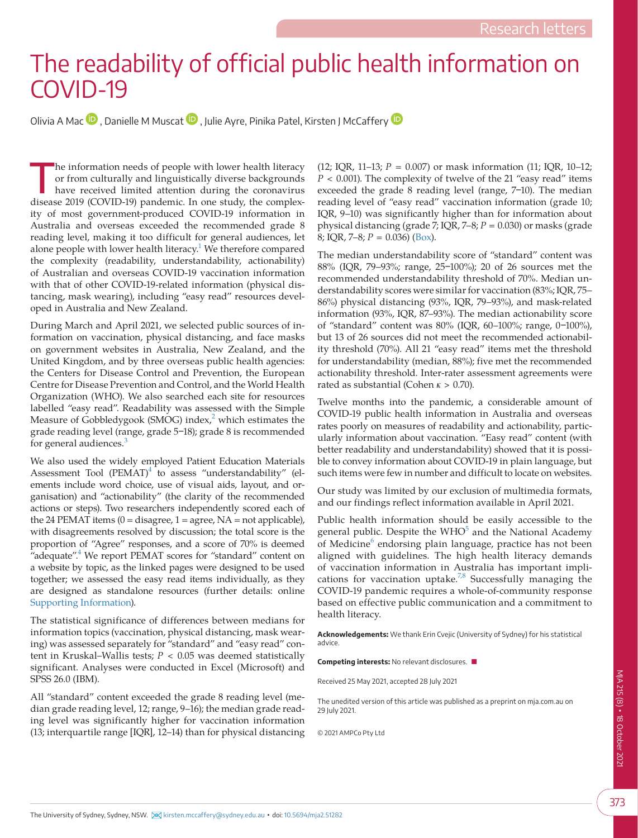## The readability of official public health information on COVID-19

Olivia A Ma[c](https://orcid.org/0000-0002-6760-4779)  $\bullet$  $\bullet$ , Danielle M Muscat  $\bullet$ , Julie Ayre, Pinika Patel, Kirsten J McCaffery  $\bullet$ 

The information needs of people with lower health literacy<br>or from culturally and linguistically diverse backgrounds<br>have received limited attention during the coronavirus<br>disease 2010 (COVID 10) parademia James the theory or from culturally and linguistically diverse backgrounds have received limited attention during the coronavirus disease 2019 (COVID-19) pandemic. In one study, the complexity of most government-produced COVID-19 information in Australia and overseas exceeded the recommended grade 8 reading level, making it too difficult for general audiences, let alone people with lower health literacy.<sup>1</sup> We therefore compared the complexity (readability, understandability, actionability) of Australian and overseas COVID-19 vaccination information with that of other COVID-19-related information (physical distancing, mask wearing), including "easy read" resources developed in Australia and New Zealand.

During March and April 2021, we selected public sources of information on vaccination, physical distancing, and face masks on government websites in Australia, New Zealand, and the United Kingdom, and by three overseas public health agencies: the Centers for Disease Control and Prevention, the European Centre for Disease Prevention and Control, and the World Health Organization (WHO). We also searched each site for resources labelled "easy read". Readability was assessed with the Simple Measure of Gobbledygook (SMOG) index,<sup>[2](#page-2-1)</sup> which estimates the grade reading level (range, grade 5-18); grade 8 is recommended for general audiences.<sup>[3](#page-2-2)</sup>

We also used the widely employed Patient Education Materials Assessment Tool  $(PEMAT)^4$  $(PEMAT)^4$  to assess "understandability" (elements include word choice, use of visual aids, layout, and organisation) and "actionability" (the clarity of the recommended actions or steps). Two researchers independently scored each of the 24 PEMAT items  $(0 = distance, 1 = agree, NA = not applicable)$ , with disagreements resolved by discussion; the total score is the proportion of "Agree" responses, and a score of 70% is deemed "adequate".<sup>[4](#page-2-3)</sup> We report PEMAT scores for "standard" content on a website by topic, as the linked pages were designed to be used together; we assessed the easy read items individually, as they are designed as standalone resources (further details: online [Supporting Information](#page-2-4)).

The statistical significance of differences between medians for information topics (vaccination, physical distancing, mask wearing) was assessed separately for "standard" and "easy read" content in Kruskal–Wallis tests; *P* < 0.05 was deemed statistically significant. Analyses were conducted in Excel (Microsoft) and SPSS 26.0 (IBM).

All "standard" content exceeded the grade 8 reading level (median grade reading level, 12; range, 9–16); the median grade reading level was significantly higher for vaccination information (13; interquartile range [IQR], 12–14) than for physical distancing

(12; IQR, 11–13; *P* = 0.007) or mask information (11; IQR, 10–12;  $P < 0.001$ ). The complexity of twelve of the 21 "easy read" items exceeded the grade 8 reading level (range, 7-10). The median reading level of "easy read" vaccination information (grade 10; IQR, 9–10) was significantly higher than for information about physical distancing (grade  $\overline{7}$ ; IQR,  $\overline{7}$ –8;  $P = 0.030$ ) or masks (grade 8; IQR, 7–8; *P* = 0.036) ([Box\)](#page-1-0).

The median understandability score of "standard" content was 88% (IQR, 79-93%; range, 25-100%); 20 of 26 sources met the recommended understandability threshold of 70%. Median understandability scores were similar for vaccination (83%; IQR, 75– 86%) physical distancing (93%, IQR, 79–93%), and mask-related information (93%, IQR, 87–93%). The median actionability score of "standard" content was 80% (IQR, 60-100%; range, 0-100%), but 13 of 26 sources did not meet the recommended actionability threshold (70%). All 21 "easy read" items met the threshold for understandability (median, 88%); five met the recommended actionability threshold. Inter-rater assessment agreements were rated as substantial (Cohen *κ* > 0.70).

Twelve months into the pandemic, a considerable amount of COVID-19 public health information in Australia and overseas rates poorly on measures of readability and actionability, particularly information about vaccination. "Easy read" content (with better readability and understandability) showed that it is possible to convey information about COVID-19 in plain language, but such items were few in number and difficult to locate on websites.

Our study was limited by our exclusion of multimedia formats, and our findings reflect information available in April 2021.

Public health information should be easily accessible to the general public. Despite the  $WHO<sup>5</sup>$  $WHO<sup>5</sup>$  $WHO<sup>5</sup>$  and the National Academy of Medicine<sup>[6](#page-2-6)</sup> endorsing plain language, practice has not been aligned with guidelines. The high health literacy demands of vaccination information in Australia has important implications for vaccination uptake.<sup>7,8</sup> Successfully managing the COVID-19 pandemic requires a whole-of-community response based on effective public communication and a commitment to health literacy.

**Acknowledgements:** We thank Erin Cvejic (University of Sydney) for his statistical advice.

**Competing interests:** No relevant disclosures. ■

Received 25 May 2021, accepted 28 July 2021

The unedited version of this article was published as a preprint on mja.com.au on 29 July 2021.

© 2021 AMPCo Pty Ltd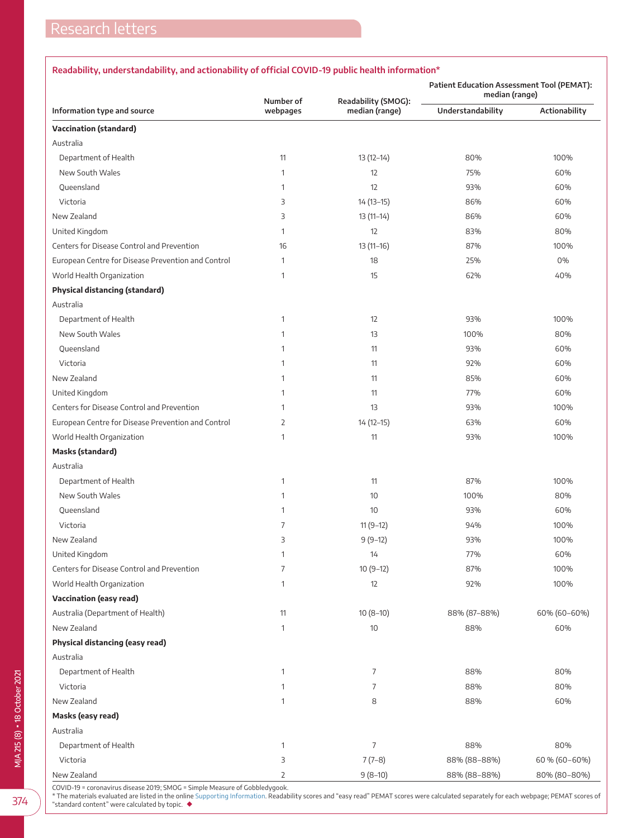## <span id="page-1-0"></span>**Readability, understandability, and actionability of official COVID-19 public health information\***

|                                                    | Number of      |                                       | <b>Patient Education Assessment Tool (PEMAT):</b><br>median (range) |               |
|----------------------------------------------------|----------------|---------------------------------------|---------------------------------------------------------------------|---------------|
| Information type and source                        | webpages       | Readability (SMOG):<br>median (range) | Understandability                                                   | Actionability |
| <b>Vaccination (standard)</b>                      |                |                                       |                                                                     |               |
| Australia                                          |                |                                       |                                                                     |               |
| Department of Health                               | 11             | $13(12-14)$                           | 80%                                                                 | 100%          |
| New South Wales                                    | $\mathbf{1}$   | 12                                    | 75%                                                                 | 60%           |
| Queensland                                         | $\mathbf{1}$   | 12                                    | 93%                                                                 | 60%           |
| Victoria                                           | 3              | $14(13-15)$                           | 86%                                                                 | 60%           |
| New Zealand                                        | 3              | $13(11-14)$                           | 86%                                                                 | 60%           |
| United Kingdom                                     | $\mathbf{1}$   | 12                                    | 83%                                                                 | 80%           |
| Centers for Disease Control and Prevention         | 16             | $13(11-16)$                           | 87%                                                                 | 100%          |
| European Centre for Disease Prevention and Control | $\mathbf{1}$   | 18                                    | 25%                                                                 | 0%            |
| World Health Organization                          | $\mathbf{1}$   | 15                                    | 62%                                                                 | 40%           |
| <b>Physical distancing (standard)</b>              |                |                                       |                                                                     |               |
| Australia                                          |                |                                       |                                                                     |               |
| Department of Health                               | $\mathbf{1}$   | 12                                    | 93%                                                                 | 100%          |
| New South Wales                                    | $\mathbf{1}$   | 13                                    | 100%                                                                | 80%           |
| Queensland                                         | $\mathbf{1}$   | 11                                    | 93%                                                                 | 60%           |
| Victoria                                           | $\mathbf{1}$   | 11                                    | 92%                                                                 | 60%           |
| New Zealand                                        | $\mathbf{1}$   | 11                                    | 85%                                                                 | 60%           |
| United Kingdom                                     | $\mathbf{1}$   | 11                                    | 77%                                                                 | 60%           |
| Centers for Disease Control and Prevention         | $\mathbf{1}$   | 13                                    | 93%                                                                 | 100%          |
| European Centre for Disease Prevention and Control | $\overline{2}$ | 14 (12-15)                            | 63%                                                                 | 60%           |
| World Health Organization                          | $\mathbf{1}$   | 11                                    | 93%                                                                 | 100%          |
| Masks (standard)                                   |                |                                       |                                                                     |               |
| Australia                                          |                |                                       |                                                                     |               |
| Department of Health                               | $\mathbf{1}$   | 11                                    | 87%                                                                 | 100%          |
| New South Wales                                    | $\mathbf{1}$   | 10                                    | 100%                                                                | 80%           |
| Queensland                                         | $\mathbf{1}$   | 10                                    | 93%                                                                 | 60%           |
| Victoria                                           | $\overline{7}$ | $11(9-12)$                            | 94%                                                                 | 100%          |
| New Zealand                                        | 3              | $9(9-12)$                             | 93%                                                                 | 100%          |
| United Kingdom                                     | $\mathbf{1}$   | 14                                    | 77%                                                                 | 60%           |
| Centers for Disease Control and Prevention         | $\overline{7}$ | $10(9-12)$                            | 87%                                                                 | 100%          |
| World Health Organization                          | $\mathbf{1}$   | 12                                    | 92%                                                                 | 100%          |
| <b>Vaccination (easy read)</b>                     |                |                                       |                                                                     |               |
| Australia (Department of Health)                   | 11             | $10(8-10)$                            | 88% (87-88%)                                                        | 60% (60-60%)  |
| New Zealand                                        | $\mathbf{1}$   | 10                                    | 88%                                                                 | 60%           |
| Physical distancing (easy read)                    |                |                                       |                                                                     |               |
| Australia                                          |                |                                       |                                                                     |               |
| Department of Health                               | $\mathbf{1}$   | 7                                     | 88%                                                                 | 80%           |
| Victoria                                           | $\mathbf{1}$   | 7                                     | 88%                                                                 | 80%           |
| New Zealand                                        | $\mathbf{1}$   | 8                                     | 88%                                                                 | 60%           |
| Masks (easy read)                                  |                |                                       |                                                                     |               |
| Australia                                          |                |                                       |                                                                     |               |
| Department of Health                               | $\mathbf{1}$   | 7                                     | 88%                                                                 | 80%           |
| Victoria                                           | 3              | $7(7-8)$                              | 88% (88-88%)                                                        | 60 % (60-60%) |
| New Zealand                                        | 2              | $9(8-10)$                             | 88% (88-88%)                                                        | 80% (80-80%)  |

COVID-19 = coronavirus disease 2019; SMOG = Simple Measure of Gobbledygook.

\* The materials evaluated are listed in the online [Supporting Information](#page-2-4). Readability scores and "easy read" PEMAT scores were calculated separately for each webpage; PEMAT scores of "standard content" were calculated by topic. ◆